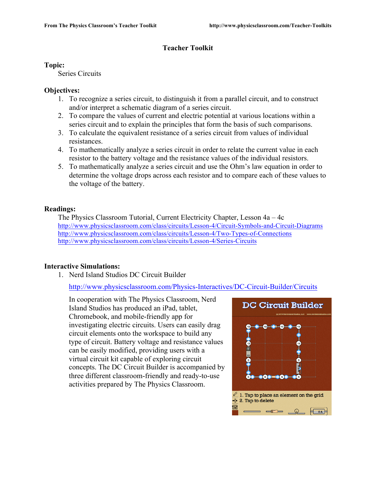# **Teacher Toolkit**

### **Topic:**

Series Circuits

# **Objectives:**

- 1. To recognize a series circuit, to distinguish it from a parallel circuit, and to construct and/or interpret a schematic diagram of a series circuit.
- 2. To compare the values of current and electric potential at various locations within a series circuit and to explain the principles that form the basis of such comparisons.
- 3. To calculate the equivalent resistance of a series circuit from values of individual resistances.
- 4. To mathematically analyze a series circuit in order to relate the current value in each resistor to the battery voltage and the resistance values of the individual resistors.
- 5. To mathematically analyze a series circuit and use the Ohm's law equation in order to determine the voltage drops across each resistor and to compare each of these values to the voltage of the battery.

## **Readings:**

The Physics Classroom Tutorial, Current Electricity Chapter, Lesson 4a – 4c http://www.physicsclassroom.com/class/circuits/Lesson-4/Circuit-Symbols-and-Circuit-Diagrams http://www.physicsclassroom.com/class/circuits/Lesson-4/Two-Types-of-Connections http://www.physicsclassroom.com/class/circuits/Lesson-4/Series-Circuits

# **Interactive Simulations:**

1. Nerd Island Studios DC Circuit Builder

http://www.physicsclassroom.com/Physics-Interactives/DC-Circuit-Builder/Circuits

In cooperation with The Physics Classroom, Nerd Island Studios has produced an iPad, tablet, Chromebook, and mobile-friendly app for investigating electric circuits. Users can easily drag circuit elements onto the workspace to build any type of circuit. Battery voltage and resistance values can be easily modified, providing users with a virtual circuit kit capable of exploring circuit concepts. The DC Circuit Builder is accompanied by three different classroom-friendly and ready-to-use activities prepared by The Physics Classroom.

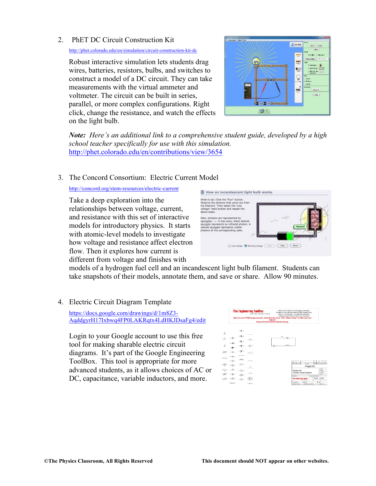#### 2. PhET DC Circuit Construction Kit

http://phet.colorado.edu/en/simulation/circuit-construction-kit-dc

Robust interactive simulation lets students drag wires, batteries, resistors, bulbs, and switches to construct a model of a DC circuit. They can take measurements with the virtual ammeter and voltmeter. The circuit can be built in series, parallel, or more complex configurations. Right click, change the resistance, and watch the effects on the light bulb.



*Note: Here's an additional link to a comprehensive student guide, developed by a high school teacher specifically for use with this simulation.*  http://phet.colorado.edu/en/contributions/view/3654

## 3. The Concord Consortium: Electric Current Model

http://concord.org/stem-resources/electric-current

Take a deep exploration into the relationships between voltage, current, and resistance with this set of interactive models for introductory physics. It starts with atomic-level models to investigate how voltage and resistance affect electron flow. Then it explores how current is different from voltage and finishes with



models of a hydrogen fuel cell and an incandescent light bulb filament. Students can take snapshots of their models, annotate them, and save or share. Allow 90 minutes.

4. Electric Circuit Diagram Template

https://docs.google.com/drawings/d/1m8Z3- AqddgyrH17Ixbwq4FP0LAKRqtx4LdHKJDsaFg4/edit

Login to your Google account to use this free tool for making sharable electric circuit diagrams. It's part of the Google Engineering ToolBox. This tool is appropriate for more advanced students, as it allows choices of AC or DC, capacitance, variable inductors, and more.

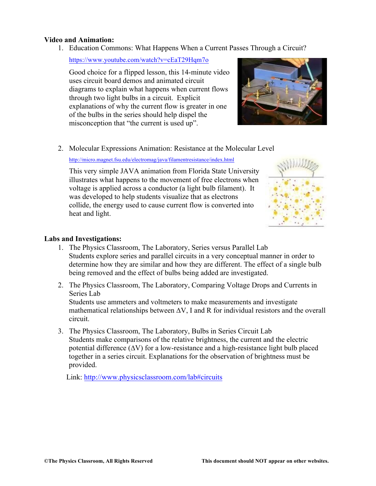#### **Video and Animation:**

1. Education Commons: What Happens When a Current Passes Through a Circuit?

https://www.youtube.com/watch?v=cEaT29Hqm7o

Good choice for a flipped lesson, this 14-minute video uses circuit board demos and animated circuit diagrams to explain what happens when current flows through two light bulbs in a circuit. Explicit explanations of why the current flow is greater in one of the bulbs in the series should help dispel the misconception that "the current is used up".



2. Molecular Expressions Animation: Resistance at the Molecular Level

http://micro.magnet.fsu.edu/electromag/java/filamentresistance/index.html

This very simple JAVA animation from Florida State University illustrates what happens to the movement of free electrons when voltage is applied across a conductor (a light bulb filament). It was developed to help students visualize that as electrons collide, the energy used to cause current flow is converted into heat and light.



## **Labs and Investigations:**

- 1. The Physics Classroom, The Laboratory, Series versus Parallel Lab Students explore series and parallel circuits in a very conceptual manner in order to determine how they are similar and how they are different. The effect of a single bulb being removed and the effect of bulbs being added are investigated.
- 2. The Physics Classroom, The Laboratory, Comparing Voltage Drops and Currents in Series Lab Students use ammeters and voltmeters to make measurements and investigate mathematical relationships between ∆V, I and R for individual resistors and the overall circuit.
- 3. The Physics Classroom, The Laboratory, Bulbs in Series Circuit Lab Students make comparisons of the relative brightness, the current and the electric potential difference (∆V) for a low-resistance and a high-resistance light bulb placed together in a series circuit. Explanations for the observation of brightness must be provided.

Link: http://www.physicsclassroom.com/lab#circuits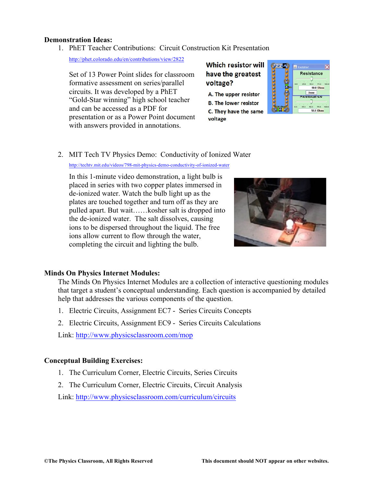#### **Demonstration Ideas:**

1. PhET Teacher Contributions: Circuit Construction Kit Presentation

http://phet.colorado.edu/en/contributions/view/2822

Set of 13 Power Point slides for classroom formative assessment on series/parallel circuits. It was developed by a PhET "Gold-Star winning" high school teacher and can be accessed as a PDF for presentation or as a Power Point document with answers provided in annotations.

# **Which resistor will** have the greatest voltage?

A. The upper resistor **B. The lower resistor** C. They have the same voltage



## 2. MIT Tech TV Physics Demo: Conductivity of Ionized Water

http://techtv.mit.edu/videos/798-mit-physics-demo-conductivity-of-ionized-water

In this 1-minute video demonstration, a light bulb is placed in series with two copper plates immersed in de-ionized water. Watch the bulb light up as the plates are touched together and turn off as they are pulled apart. But wait……kosher salt is dropped into the de-ionized water. The salt dissolves, causing ions to be dispersed throughout the liquid. The free ions allow current to flow through the water, completing the circuit and lighting the bulb.



#### **Minds On Physics Internet Modules:**

The Minds On Physics Internet Modules are a collection of interactive questioning modules that target a student's conceptual understanding. Each question is accompanied by detailed help that addresses the various components of the question.

- 1. Electric Circuits, Assignment EC7 Series Circuits Concepts
- 2. Electric Circuits, Assignment EC9 Series Circuits Calculations

Link: http://www.physicsclassroom.com/mop

# **Conceptual Building Exercises:**

- 1. The Curriculum Corner, Electric Circuits, Series Circuits
- 2. The Curriculum Corner, Electric Circuits, Circuit Analysis

Link: http://www.physicsclassroom.com/curriculum/circuits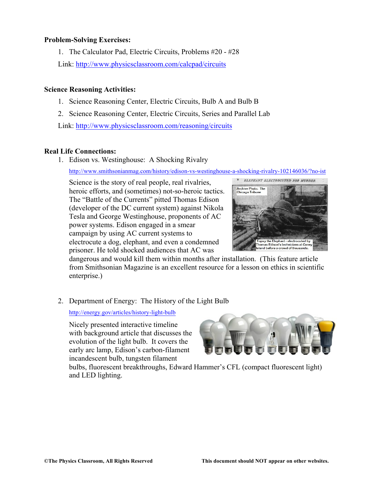#### **Problem-Solving Exercises:**

1. The Calculator Pad, Electric Circuits, Problems #20 - #28 Link: http://www.physicsclassroom.com/calcpad/circuits

#### **Science Reasoning Activities:**

- 1. Science Reasoning Center, Electric Circuits, Bulb A and Bulb B
- 2. Science Reasoning Center, Electric Circuits, Series and Parallel Lab

Link: http://www.physicsclassroom.com/reasoning/circuits

#### **Real Life Connections:**

1. Edison vs. Westinghouse: A Shocking Rivalry

http://www.smithsonianmag.com/history/edison-vs-westinghouse-a-shocking-rivalry-102146036/?no-ist

Science is the story of real people, real rivalries, heroic efforts, and (sometimes) not-so-heroic tactics. The "Battle of the Currents" pitted Thomas Edison (developer of the DC current system) against Nikola Tesla and George Westinghouse, proponents of AC power systems. Edison engaged in a smear campaign by using AC current systems to electrocute a dog, elephant, and even a condemned prisoner. He told shocked audiences that AC was



dangerous and would kill them within months after installation. (This feature article from Smithsonian Magazine is an excellent resource for a lesson on ethics in scientific enterprise.)

#### 2. Department of Energy: The History of the Light Bulb

http://energy.gov/articles/history-light-bulb

Nicely presented interactive timeline with background article that discusses the evolution of the light bulb. It covers the early arc lamp, Edison's carbon-filament incandescent bulb, tungsten filament



bulbs, fluorescent breakthroughs, Edward Hammer's CFL (compact fluorescent light) and LED lighting.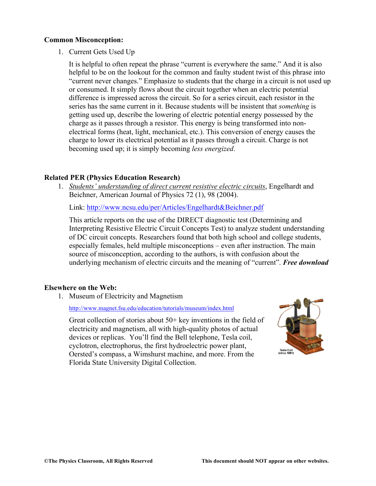#### **Common Misconception:**

1. Current Gets Used Up

It is helpful to often repeat the phrase "current is everywhere the same." And it is also helpful to be on the lookout for the common and faulty student twist of this phrase into "current never changes." Emphasize to students that the charge in a circuit is not used up or consumed. It simply flows about the circuit together when an electric potential difference is impressed across the circuit. So for a series circuit, each resistor in the series has the same current in it. Because students will be insistent that *something* is getting used up, describe the lowering of electric potential energy possessed by the charge as it passes through a resistor. This energy is being transformed into nonelectrical forms (heat, light, mechanical, etc.). This conversion of energy causes the charge to lower its electrical potential as it passes through a circuit. Charge is not becoming used up; it is simply becoming *less energized*.

#### **Related PER (Physics Education Research)**

1. *Students' understanding of direct current resistive electric circuits*, Engelhardt and Beichner, American Journal of Physics 72 (1), 98 (2004).

Link: http://www.ncsu.edu/per/Articles/Engelhardt&Beichner.pdf

This article reports on the use of the DIRECT diagnostic test (Determining and Interpreting Resistive Electric Circuit Concepts Test) to analyze student understanding of DC circuit concepts. Researchers found that both high school and college students, especially females, held multiple misconceptions – even after instruction. The main source of misconception, according to the authors, is with confusion about the underlying mechanism of electric circuits and the meaning of "current". *Free download*

#### **Elsewhere on the Web:**

1. Museum of Electricity and Magnetism

http://www.magnet.fsu.edu/education/tutorials/museum/index.html

Great collection of stories about 50+ key inventions in the field of electricity and magnetism, all with high-quality photos of actual devices or replicas. You'll find the Bell telephone, Tesla coil, cyclotron, electrophorus, the first hydroelectric power plant, Oersted's compass, a Wimshurst machine, and more. From the Florida State University Digital Collection.

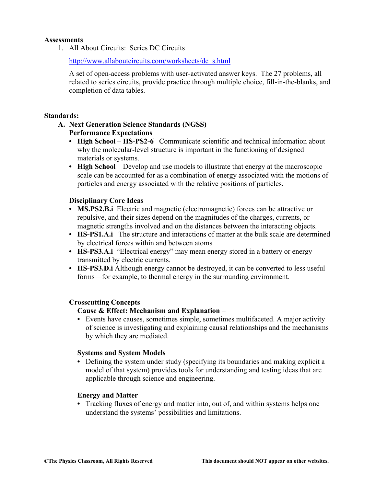#### **Assessments**

1. All About Circuits: Series DC Circuits

http://www.allaboutcircuits.com/worksheets/dc\_s.html

A set of open-access problems with user-activated answer keys. The 27 problems, all related to series circuits, provide practice through multiple choice, fill-in-the-blanks, and completion of data tables.

#### **Standards:**

# **A. Next Generation Science Standards (NGSS) Performance Expectations**

- **• High School – HS-PS2-6** Communicate scientific and technical information about why the molecular-level structure is important in the functioning of designed materials or systems.
- **High School** Develop and use models to illustrate that energy at the macroscopic scale can be accounted for as a combination of energy associated with the motions of particles and energy associated with the relative positions of particles.

#### **Disciplinary Core Ideas**

- **• MS.PS2.B.i** Electric and magnetic (electromagnetic) forces can be attractive or repulsive, and their sizes depend on the magnitudes of the charges, currents, or magnetic strengths involved and on the distances between the interacting objects.
- **• HS-PS1.A.i** The structure and interactions of matter at the bulk scale are determined by electrical forces within and between atoms
- **HS-PS3.A.i** "Electrical energy" may mean energy stored in a battery or energy transmitted by electric currents.
- **• HS-PS3.D.i** Although energy cannot be destroyed, it can be converted to less useful forms—for example, to thermal energy in the surrounding environment.

#### **Crosscutting Concepts**

### **Cause & Effect: Mechanism and Explanation** –

**•** Events have causes, sometimes simple, sometimes multifaceted. A major activity of science is investigating and explaining causal relationships and the mechanisms by which they are mediated.

#### **Systems and System Models**

**•** Defining the system under study (specifying its boundaries and making explicit a model of that system) provides tools for understanding and testing ideas that are applicable through science and engineering.

#### **Energy and Matter**

**•** Tracking fluxes of energy and matter into, out of, and within systems helps one understand the systems' possibilities and limitations.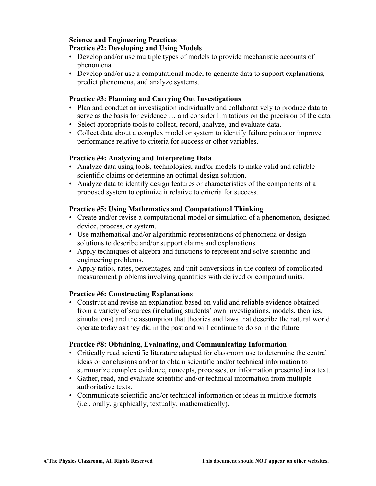#### **Science and Engineering Practices Practice #2: Developing and Using Models**

- Develop and/or use multiple types of models to provide mechanistic accounts of phenomena
- Develop and/or use a computational model to generate data to support explanations, predict phenomena, and analyze systems.

# **Practice #3: Planning and Carrying Out Investigations**

- Plan and conduct an investigation individually and collaboratively to produce data to serve as the basis for evidence … and consider limitations on the precision of the data
- Select appropriate tools to collect, record, analyze, and evaluate data.
- Collect data about a complex model or system to identify failure points or improve performance relative to criteria for success or other variables.

## **Practice #4: Analyzing and Interpreting Data**

- Analyze data using tools, technologies, and/or models to make valid and reliable scientific claims or determine an optimal design solution.
- Analyze data to identify design features or characteristics of the components of a proposed system to optimize it relative to criteria for success.

## **Practice #5: Using Mathematics and Computational Thinking**

- Create and/or revise a computational model or simulation of a phenomenon, designed device, process, or system.
- Use mathematical and/or algorithmic representations of phenomena or design solutions to describe and/or support claims and explanations.
- Apply techniques of algebra and functions to represent and solve scientific and engineering problems.
- Apply ratios, rates, percentages, and unit conversions in the context of complicated measurement problems involving quantities with derived or compound units.

#### **Practice #6: Constructing Explanations**

• Construct and revise an explanation based on valid and reliable evidence obtained from a variety of sources (including students' own investigations, models, theories, simulations) and the assumption that theories and laws that describe the natural world operate today as they did in the past and will continue to do so in the future.

#### **Practice #8: Obtaining, Evaluating, and Communicating Information**

- Critically read scientific literature adapted for classroom use to determine the central ideas or conclusions and/or to obtain scientific and/or technical information to summarize complex evidence, concepts, processes, or information presented in a text.
- Gather, read, and evaluate scientific and/or technical information from multiple authoritative texts.
- Communicate scientific and/or technical information or ideas in multiple formats (i.e., orally, graphically, textually, mathematically).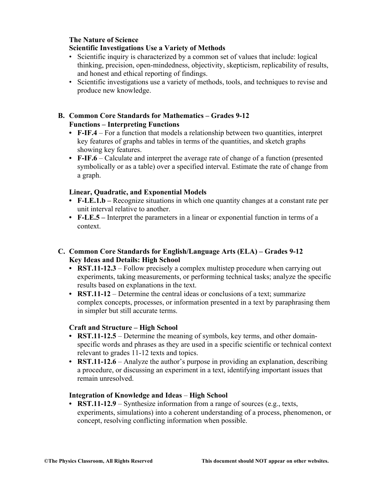# **The Nature of Science**

### **Scientific Investigations Use a Variety of Methods**

- Scientific inquiry is characterized by a common set of values that include: logical thinking, precision, open-mindedness, objectivity, skepticism, replicability of results, and honest and ethical reporting of findings.
- Scientific investigations use a variety of methods, tools, and techniques to revise and produce new knowledge.

# **B. Common Core Standards for Mathematics – Grades 9-12 Functions – Interpreting Functions**

- **• F-IF.4** For a function that models a relationship between two quantities, interpret key features of graphs and tables in terms of the quantities, and sketch graphs showing key features.
- **• F-IF.6** Calculate and interpret the average rate of change of a function (presented symbolically or as a table) over a specified interval. Estimate the rate of change from a graph.

## **Linear, Quadratic, and Exponential Models**

- **• F-LE.1.b –** Recognize situations in which one quantity changes at a constant rate per unit interval relative to another.
- **• F-LE.5 –** Interpret the parameters in a linear or exponential function in terms of a context.

# **C. Common Core Standards for English/Language Arts (ELA) – Grades 9-12 Key Ideas and Details: High School**

- **RST.11-12.3** Follow precisely a complex multistep procedure when carrying out experiments, taking measurements, or performing technical tasks; analyze the specific results based on explanations in the text.
- **• RST.11-12**  Determine the central ideas or conclusions of a text; summarize complex concepts, processes, or information presented in a text by paraphrasing them in simpler but still accurate terms.

# **Craft and Structure – High School**

- **• RST.11-12.5**  Determine the meaning of symbols, key terms, and other domainspecific words and phrases as they are used in a specific scientific or technical context relevant to grades 11-12 texts and topics.
- **RST.11-12.6** Analyze the author's purpose in providing an explanation, describing a procedure, or discussing an experiment in a text, identifying important issues that remain unresolved.

#### **Integration of Knowledge and Ideas** – **High School**

**• RST.11-12.9** – Synthesize information from a range of sources (e.g., texts, experiments, simulations) into a coherent understanding of a process, phenomenon, or concept, resolving conflicting information when possible.